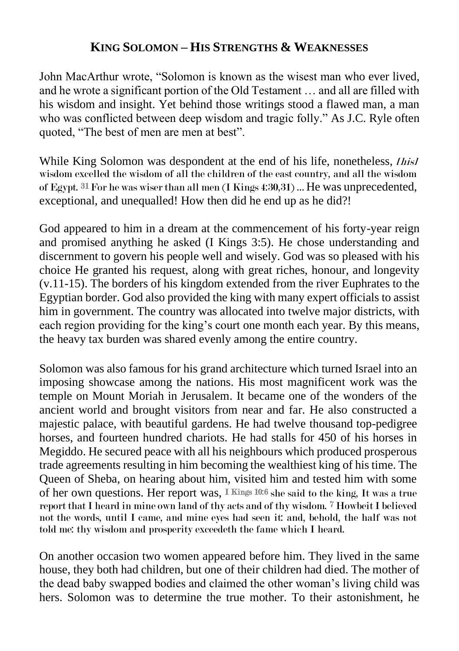## **KING SOLOMON – HIS STRENGTHS & WEAKNESSES**

John MacArthur wrote, "Solomon is known as the wisest man who ever lived, and he wrote a significant portion of the Old Testament … and all are filled with his wisdom and insight. Yet behind those writings stood a flawed man, a man who was conflicted between deep wisdom and tragic folly." As J.C. Ryle often quoted, "The best of men are men at best".

While King Solomon was despondent at the end of his life, nonetheless, *[his]* wisdom excelled the wisdom of all the children of the east country, and all the wisdom of Egypt. 31 For he was wiser than all men (I Kings 4:30,31) … He was unprecedented, exceptional, and unequalled! How then did he end up as he did?!

God appeared to him in a dream at the commencement of his forty-year reign and promised anything he asked (I Kings 3:5). He chose understanding and discernment to govern his people well and wisely. God was so pleased with his choice He granted his request, along with great riches, honour, and longevity (v.11-15). The borders of his kingdom extended from the river Euphrates to the Egyptian border. God also provided the king with many expert officials to assist him in government. The country was allocated into twelve major districts, with each region providing for the king's court one month each year. By this means, the heavy tax burden was shared evenly among the entire country.

Solomon was also famous for his grand architecture which turned Israel into an imposing showcase among the nations. His most magnificent work was the temple on Mount Moriah in Jerusalem. It became one of the wonders of the ancient world and brought visitors from near and far. He also constructed a majestic palace, with beautiful gardens. He had twelve thousand top-pedigree horses, and fourteen hundred chariots. He had stalls for 450 of his horses in Megiddo. He secured peace with all his neighbours which produced prosperous trade agreements resulting in him becoming the wealthiest king of his time. The Queen of Sheba, on hearing about him, visited him and tested him with some of her own questions. Her report was, I Kings 10:6 she said to the king, It was a true report that I heard in mine own land of thy acts and of thy wisdom.  $^7$  Howbeit I believed not the words, until I came, and mine eyes had seen it: and, behold, the half was not told me: thy wisdom and prosperity exceedeth the fame which I heard.

On another occasion two women appeared before him. They lived in the same house, they both had children, but one of their children had died. The mother of the dead baby swapped bodies and claimed the other woman's living child was hers. Solomon was to determine the true mother. To their astonishment, he